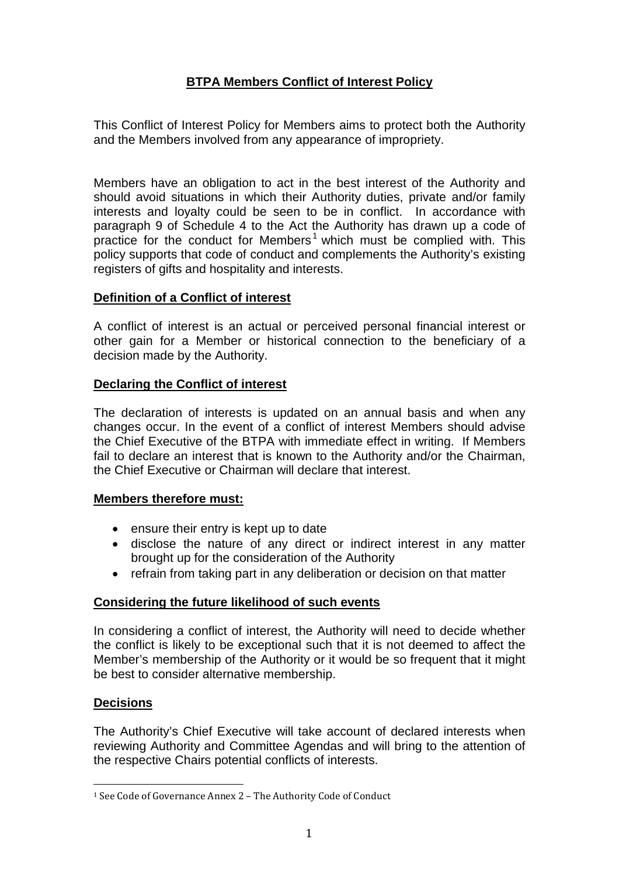# **BTPA Members Conflict of Interest Policy**

This Conflict of Interest Policy for Members aims to protect both the Authority and the Members involved from any appearance of impropriety.

Members have an obligation to act in the best interest of the Authority and should avoid situations in which their Authority duties, private and/or family interests and loyalty could be seen to be in conflict. In accordance with paragraph 9 of Schedule 4 to the Act the Authority has drawn up a code of practice for the conduct for Members<sup>[1](#page-0-0)</sup> which must be complied with. This policy supports that code of conduct and complements the Authority's existing registers of gifts and hospitality and interests.

## **Definition of a Conflict of interest**

A conflict of interest is an actual or perceived personal financial interest or other gain for a Member or historical connection to the beneficiary of a decision made by the Authority.

## **Declaring the Conflict of interest**

The declaration of interests is updated on an annual basis and when any changes occur. In the event of a conflict of interest Members should advise the Chief Executive of the BTPA with immediate effect in writing. If Members fail to declare an interest that is known to the Authority and/or the Chairman, the Chief Executive or Chairman will declare that interest.

### **Members therefore must:**

- ensure their entry is kept up to date
- disclose the nature of any direct or indirect interest in any matter brought up for the consideration of the Authority
- refrain from taking part in any deliberation or decision on that matter

### **Considering the future likelihood of such events**

In considering a conflict of interest, the Authority will need to decide whether the conflict is likely to be exceptional such that it is not deemed to affect the Member's membership of the Authority or it would be so frequent that it might be best to consider alternative membership.

# **Decisions**

The Authority's Chief Executive will take account of declared interests when reviewing Authority and Committee Agendas and will bring to the attention of the respective Chairs potential conflicts of interests.

<span id="page-0-0"></span> <sup>1</sup> See Code of Governance Annex 2 – The Authority Code of Conduct